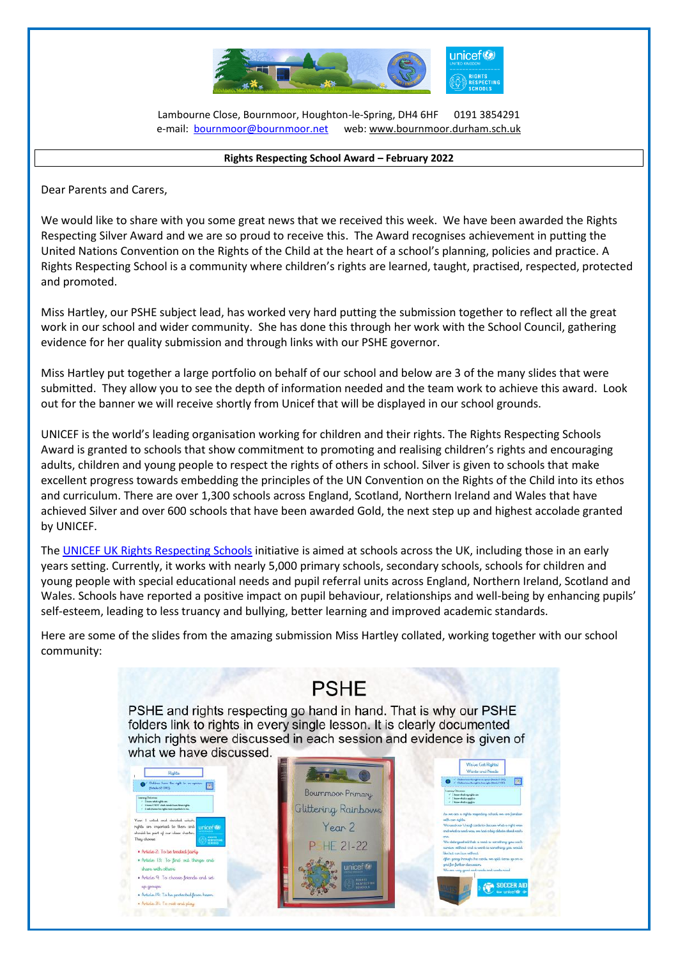

Lambourne Close, Bournmoor, Houghton-le-Spring, DH4 6HF 0191 3854291 e-mail: **bournmoor@bournmoor.net** web[: www.bournmoor.durham.sch.uk](http://www.bournmoor.durham.sch.uk/)

 $\overline{a}$ 

## **Rights Respecting School Award – February 2022**

Dear Parents and Carers,

We would like to share with you some great news that we received this week. We have been awarded the Rights Respecting Silver Award and we are so proud to receive this. The Award recognises achievement in putting the United Nations Convention on the Rights of the Child at the heart of a school's planning, policies and practice. A Rights Respecting School is a community where children's rights are learned, taught, practised, respected, protected and promoted.

Miss Hartley, our PSHE subject lead, has worked very hard putting the submission together to reflect all the great work in our school and wider community. She has done this through her work with the School Council, gathering evidence for her quality submission and through links with our PSHE governor.

Miss Hartley put together a large portfolio on behalf of our school and below are 3 of the many slides that were submitted. They allow you to see the depth of information needed and the team work to achieve this award. Look out for the banner we will receive shortly from Unicef that will be displayed in our school grounds.

UNICEF is the world's leading organisation working for children and their rights. The Rights Respecting Schools Award is granted to schools that show commitment to promoting and realising children's rights and encouraging adults, children and young people to respect the rights of others in school. Silver is given to schools that make excellent progress towards embedding the principles of the UN Convention on the Rights of the Child into its ethos and curriculum. There are over 1,300 schools across England, Scotland, Northern Ireland and Wales that have achieved Silver and over 600 schools that have been awarded Gold, the next step up and highest accolade granted by UNICEF.

The [UNICEF UK Rights Respecting](https://www.unicef.org.uk/rights-respecting-schools/the-rrsa/about-the-rrsa/) Schools initiative is aimed at schools across the UK, including those in an early years setting. Currently, it works with nearly 5,000 primary schools, secondary schools, schools for children and young people with special educational needs and pupil referral units across England, Northern Ireland, Scotland and Wales. Schools have reported a positive impact on pupil behaviour, relationships and well-being by enhancing pupils' self-esteem, leading to less truancy and bullying, better learning and improved academic standards.

Here are some of the slides from the amazing submission Miss Hartley collated, working together with our school community: